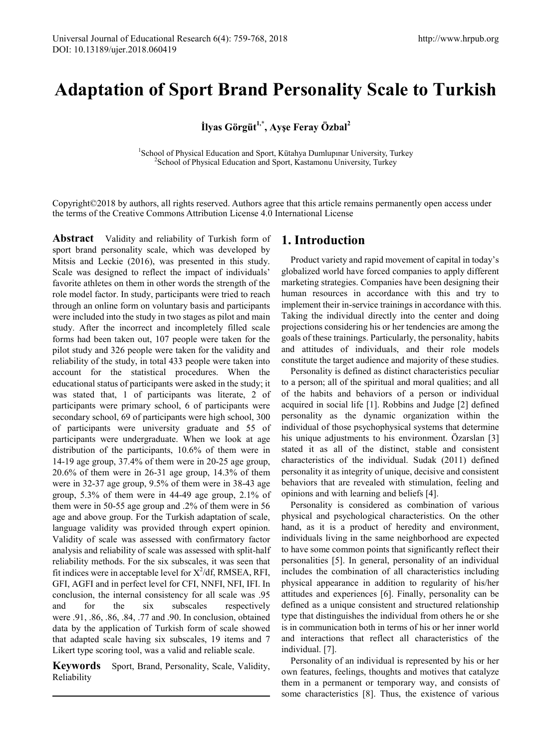# **Adaptation of Sport Brand Personality Scale to Turkish**

**İlyas Görgüt1,\*, Ayşe Feray Özbal<sup>2</sup>**

<sup>1</sup>School of Physical Education and Sport, Kütahya Dumlupınar University, Turkey<br><sup>2</sup>School of Physical Education and Sport, Kastamonu University, Turkey <sup>2</sup> School of Physical Education and Sport, Kastamonu University, Turkey

Copyright©2018 by authors, all rights reserved. Authors agree that this article remains permanently open access under the terms of the Creative Commons Attribution License 4.0 International License

**Abstract** Validity and reliability of Turkish form of sport brand personality scale, which was developed by Mitsis and Leckie (2016), was presented in this study. Scale was designed to reflect the impact of individuals' favorite athletes on them in other words the strength of the role model factor. In study, participants were tried to reach through an online form on voluntary basis and participants were included into the study in two stages as pilot and main study. After the incorrect and incompletely filled scale forms had been taken out, 107 people were taken for the pilot study and 326 people were taken for the validity and reliability of the study, in total 433 people were taken into account for the statistical procedures. When the educational status of participants were asked in the study; it was stated that, 1 of participants was literate, 2 of participants were primary school, 6 of participants were secondary school, 69 of participants were high school, 300 of participants were university graduate and 55 of participants were undergraduate. When we look at age distribution of the participants, 10.6% of them were in 14-19 age group, 37.4% of them were in 20-25 age group, 20.6% of them were in 26-31 age group, 14.3% of them were in 32-37 age group, 9.5% of them were in 38-43 age group, 5.3% of them were in 44-49 age group, 2.1% of them were in 50-55 age group and .2% of them were in 56 age and above group. For the Turkish adaptation of scale, language validity was provided through expert opinion. Validity of scale was assessed with confirmatory factor analysis and reliability of scale was assessed with split-half reliability methods. For the six subscales, it was seen that fit indices were in acceptable level for  $X^2/df$ , RMSEA, RFI, GFI, AGFI and in perfect level for CFI, NNFI, NFI, IFI. In conclusion, the internal consistency for all scale was .95 and for the six subscales respectively were .91, .86, .86, .84, .77 and .90. In conclusion, obtained data by the application of Turkish form of scale showed that adapted scale having six subscales, 19 items and 7 Likert type scoring tool, was a valid and reliable scale.

**Keywords** Sport, Brand, Personality, Scale, Validity, Reliability

# **1. Introduction**

Product variety and rapid movement of capital in today's globalized world have forced companies to apply different marketing strategies. Companies have been designing their human resources in accordance with this and try to implement their in-service trainings in accordance with this. Taking the individual directly into the center and doing projections considering his or her tendencies are among the goals of these trainings. Particularly, the personality, habits and attitudes of individuals, and their role models constitute the target audience and majority of these studies.

Personality is defined as distinct characteristics peculiar to a person; all of the spiritual and moral qualities; and all of the habits and behaviors of a person or individual acquired in social life [1]. Robbins and Judge [2] defined personality as the dynamic organization within the individual of those psychophysical systems that determine his unique adjustments to his environment. Özarslan [3] stated it as all of the distinct, stable and consistent characteristics of the individual. Sudak (2011) defined personality it as integrity of unique, decisive and consistent behaviors that are revealed with stimulation, feeling and opinions and with learning and beliefs [4].

Personality is considered as combination of various physical and psychological characteristics. On the other hand, as it is a product of heredity and environment, individuals living in the same neighborhood are expected to have some common points that significantly reflect their personalities [5]. In general, personality of an individual includes the combination of all characteristics including physical appearance in addition to regularity of his/her attitudes and experiences [6]. Finally, personality can be defined as a unique consistent and structured relationship type that distinguishes the individual from others he or she is in communication both in terms of his or her inner world and interactions that reflect all characteristics of the individual. [7].

Personality of an individual is represented by his or her own features, feelings, thoughts and motives that catalyze them in a permanent or temporary way, and consists of some characteristics [8]. Thus, the existence of various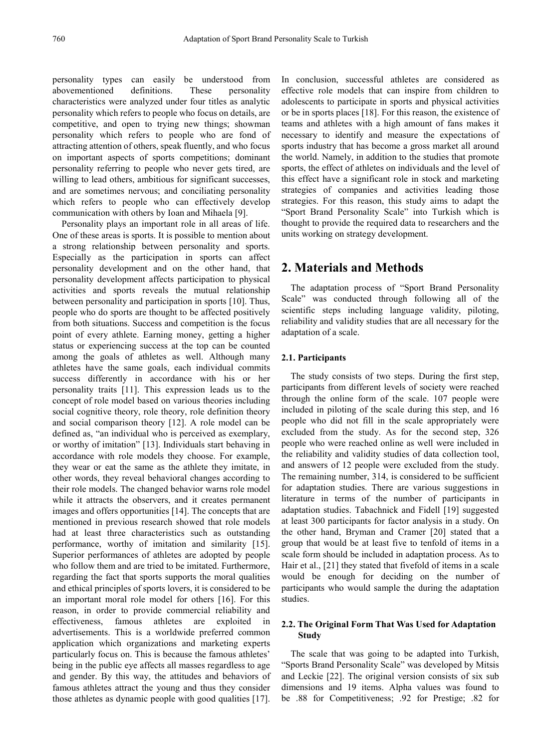personality types can easily be understood from abovementioned definitions. These personality characteristics were analyzed under four titles as analytic personality which refers to people who focus on details, are competitive, and open to trying new things; showman personality which refers to people who are fond of attracting attention of others, speak fluently, and who focus on important aspects of sports competitions; dominant personality referring to people who never gets tired, are willing to lead others, ambitious for significant successes, and are sometimes nervous; and conciliating personality which refers to people who can effectively develop communication with others by Ioan and Mihaela [9].

Personality plays an important role in all areas of life. One of these areas is sports. It is possible to mention about a strong relationship between personality and sports. Especially as the participation in sports can affect personality development and on the other hand, that personality development affects participation to physical activities and sports reveals the mutual relationship between personality and participation in sports [10]. Thus, people who do sports are thought to be affected positively from both situations. Success and competition is the focus point of every athlete. Earning money, getting a higher status or experiencing success at the top can be counted among the goals of athletes as well. Although many athletes have the same goals, each individual commits success differently in accordance with his or her personality traits [11]. This expression leads us to the concept of role model based on various theories including social cognitive theory, role theory, role definition theory and social comparison theory [12]. A role model can be defined as, "an individual who is perceived as exemplary, or worthy of imitation" [13]. Individuals start behaving in accordance with role models they choose. For example, they wear or eat the same as the athlete they imitate, in other words, they reveal behavioral changes according to their role models. The changed behavior warns role model while it attracts the observers, and it creates permanent images and offers opportunities [14]. The concepts that are mentioned in previous research showed that role models had at least three characteristics such as outstanding performance, worthy of imitation and similarity [15]. Superior performances of athletes are adopted by people who follow them and are tried to be imitated. Furthermore, regarding the fact that sports supports the moral qualities and ethical principles of sports lovers, it is considered to be an important moral role model for others [16]. For this reason, in order to provide commercial reliability and effectiveness, famous athletes are exploited in advertisements. This is a worldwide preferred common application which organizations and marketing experts particularly focus on. This is because the famous athletes' being in the public eye affects all masses regardless to age and gender. By this way, the attitudes and behaviors of famous athletes attract the young and thus they consider those athletes as dynamic people with good qualities [17].

In conclusion, successful athletes are considered as effective role models that can inspire from children to adolescents to participate in sports and physical activities or be in sports places [18]. For this reason, the existence of teams and athletes with a high amount of fans makes it necessary to identify and measure the expectations of sports industry that has become a gross market all around the world. Namely, in addition to the studies that promote sports, the effect of athletes on individuals and the level of this effect have a significant role in stock and marketing strategies of companies and activities leading those strategies. For this reason, this study aims to adapt the "Sport Brand Personality Scale" into Turkish which is thought to provide the required data to researchers and the units working on strategy development.

## **2. Materials and Methods**

The adaptation process of "Sport Brand Personality Scale" was conducted through following all of the scientific steps including language validity, piloting, reliability and validity studies that are all necessary for the adaptation of a scale.

### **2.1. Participants**

The study consists of two steps. During the first step, participants from different levels of society were reached through the online form of the scale. 107 people were included in piloting of the scale during this step, and 16 people who did not fill in the scale appropriately were excluded from the study. As for the second step, 326 people who were reached online as well were included in the reliability and validity studies of data collection tool, and answers of 12 people were excluded from the study. The remaining number, 314, is considered to be sufficient for adaptation studies. There are various suggestions in literature in terms of the number of participants in adaptation studies. Tabachnick and Fidell [19] suggested at least 300 participants for factor analysis in a study. On the other hand, Bryman and Cramer [20] stated that a group that would be at least five to tenfold of items in a scale form should be included in adaptation process. As to Hair et al., [21] they stated that fivefold of items in a scale would be enough for deciding on the number of participants who would sample the during the adaptation studies.

## **2.2. The Original Form That Was Used for Adaptation Study**

The scale that was going to be adapted into Turkish, "Sports Brand Personality Scale" was developed by Mitsis and Leckie [22]. The original version consists of six sub dimensions and 19 items. Alpha values was found to be .88 for Competitiveness; .92 for Prestige; .82 for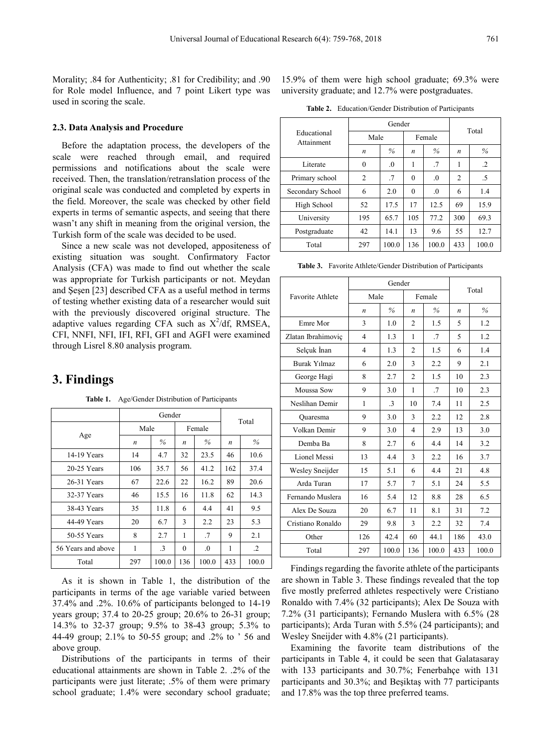Morality; .84 for Authenticity; .81 for Credibility; and .90 for Role model Influence, and 7 point Likert type was used in scoring the scale.

#### **2.3. Data Analysis and Procedure**

Before the adaptation process, the developers of the scale were reached through email, and required permissions and notifications about the scale were received. Then, the translation/retranslation process of the original scale was conducted and completed by experts in the field. Moreover, the scale was checked by other field experts in terms of semantic aspects, and seeing that there wasn't any shift in meaning from the original version, the Turkish form of the scale was decided to be used.

Since a new scale was not developed, appositeness of existing situation was sought. Confirmatory Factor Analysis (CFA) was made to find out whether the scale was appropriate for Turkish participants or not. Meydan and Şeşen [23] described CFA as a useful method in terms of testing whether existing data of a researcher would suit with the previously discovered original structure. The adaptive values regarding CFA such as  $X^2/df$ , RMSEA, CFI, NNFI, NFI, IFI, RFI, GFI and AGFI were examined through Lisrel 8.80 analysis program.

# **3. Findings**

**Table 1.** Age/Gender Distribution of Participants

|                    |      | Gender    | Total    |          |                  |           |  |
|--------------------|------|-----------|----------|----------|------------------|-----------|--|
|                    | Male |           |          | Female   |                  |           |  |
| Age                | n    | $\%$      | n        | $\%$     | $\boldsymbol{n}$ | $\%$      |  |
| 14-19 Years        | 14   | 4.7       | 32       | 23.5     | 46               | 10.6      |  |
| $20-25$ Years      | 106  | 35.7      | 56       | 41.2     | 162              | 37.4      |  |
| 26-31 Years        | 67   | 22.6      | 22       | 16.2     | 89               | 20.6      |  |
| 32-37 Years        | 46   | 15.5      | 16       | 11.8     | 62               | 14.3      |  |
| 38-43 Years        | 35   | 11.8      | 6        | 4.4      | 41               | 9.5       |  |
| 44-49 Years        | 20   | 6.7       | 3        | 2.2      | 23               | 5.3       |  |
| 50-55 Years        | 8    | 2.7       | 1        | .7       | 9                | 2.1       |  |
| 56 Years and above | 1    | $\cdot$ 3 | $\theta$ | $\Omega$ | 1                | $\cdot$ 2 |  |
| Total              | 297  | 100.0     | 136      | 100.0    | 433              | 100.0     |  |

As it is shown in Table 1, the distribution of the participants in terms of the age variable varied between 37.4% and .2%. 10.6% of participants belonged to 14-19 years group; 37.4 to 20-25 group; 20.6% to 26-31 group; 14.3% to 32-37 group; 9.5% to 38-43 group; 5.3% to 44-49 group; 2.1% to 50-55 group; and .2% to ' 56 and above group.

Distributions of the participants in terms of their educational attainments are shown in Table 2. .2% of the participants were just literate; .5% of them were primary school graduate; 1.4% were secondary school graduate; 15.9% of them were high school graduate; 69.3% were university graduate; and 12.7% were postgraduates.

| <b>Table 2.</b> Education/Gender Distribution of Participants |  |
|---------------------------------------------------------------|--|
|---------------------------------------------------------------|--|

|                           |                  | Gender   | Total    |          |                |         |  |
|---------------------------|------------------|----------|----------|----------|----------------|---------|--|
| Educational<br>Attainment | Male             |          |          | Female   |                |         |  |
|                           | $\boldsymbol{n}$ | $\%$     | n        | $\%$     | n              | $\%$    |  |
| Literate                  | $\theta$         | $\Omega$ | 1        | .7       | 1              | $\cdot$ |  |
| Primary school            | $\overline{c}$   | .7       | $\Omega$ | $\Omega$ | $\overline{c}$ | .5      |  |
| Secondary School          | 6                | 2.0      | $\theta$ | $\Omega$ | 6              | 1.4     |  |
| High School               | 52               | 17.5     | 17       | 12.5     | 69             | 15.9    |  |
| University                | 195              | 65.7     | 105      | 77.2     | 300            | 69.3    |  |
| Postgraduate              | 42               | 14.1     | 13       | 9.6      | 55             | 12.7    |  |
| Total                     | 297              | 100.0    | 136      | 100.0    | 433            | 100.0   |  |

**Table 3.** Favorite Athlete/Gender Distribution of Participants

|                         |                  | Gender       | Total            |                |     |       |  |
|-------------------------|------------------|--------------|------------------|----------------|-----|-------|--|
| <b>Favorite Athlete</b> | Male             |              |                  | Female         |     |       |  |
|                         | $\boldsymbol{n}$ | $\%$         | $\boldsymbol{n}$ | $\%$           | n   | $\%$  |  |
| Emre Mor                | 3                | 1.0          | $\mathfrak{D}$   | 1.5            | 5   | 1.2   |  |
| Zlatan Ibrahimoviç      | 4                | 1.3          | 1                | $\overline{J}$ | 5   | 1.2   |  |
| Selçuk İnan             | 4                | 1.3          | $\mathfrak{D}$   | 1.5            | 6   | 1.4   |  |
| <b>Burak Yılmaz</b>     | 6                | 2.0          | 3                | 2.2            | 9   | 2.1   |  |
| George Hagi             | 8                | 2.7          | $\overline{c}$   | 1.5            | 10  | 2.3   |  |
| <b>Moussa Sow</b>       | 9                | 3.0          | 1                | $\overline{J}$ | 10  | 2.3   |  |
| Neslihan Demir          | 1                | $\mathbf{3}$ | 10               | 7.4            | 11  | 2.5   |  |
| Quaresma                | 9                | 3.0          | 3                | 2.2            | 12  | 2.8   |  |
| Volkan Demir            | 9                | 3.0          | $\overline{4}$   | 2.9            | 13  | 3.0   |  |
| Demba Ba                | 8                | 2.7          | 6                | 4.4            | 14  | 3.2   |  |
| <b>Lionel Messi</b>     | 13               | 4.4          | 3                | 2.2            | 16  | 3.7   |  |
| Wesley Sneijder         | 15               | 5.1          | 6                | 4.4            | 21  | 4.8   |  |
| Arda Turan              | 17               | 5.7          | 7                | 5.1            | 24  | 5.5   |  |
| Fernando Muslera        | 16               | 5.4          | 12               | 8.8            | 28  | 6.5   |  |
| Alex De Souza           | 20               | 6.7          | 11               | 8.1            | 31  | 7.2   |  |
| Cristiano Ronaldo       | 29               | 9.8          | 3                | 2.2            | 32  | 7.4   |  |
| Other                   | 126              | 42.4         | 60               | 44.1           | 186 | 43.0  |  |
| Total                   | 297              | 100.0        | 136              | 100.0          | 433 | 100.0 |  |

Findings regarding the favorite athlete of the participants are shown in Table 3. These findings revealed that the top five mostly preferred athletes respectively were Cristiano Ronaldo with 7.4% (32 participants); Alex De Souza with 7.2% (31 participants); Fernando Muslera with 6.5% (28 participants); Arda Turan with 5.5% (24 participants); and Wesley Sneijder with 4.8% (21 participants).

Examining the favorite team distributions of the participants in Table 4, it could be seen that Galatasaray with 133 participants and 30.7%; Fenerbahçe with 131 participants and 30.3%; and Beşiktaş with 77 participants and 17.8% was the top three preferred teams.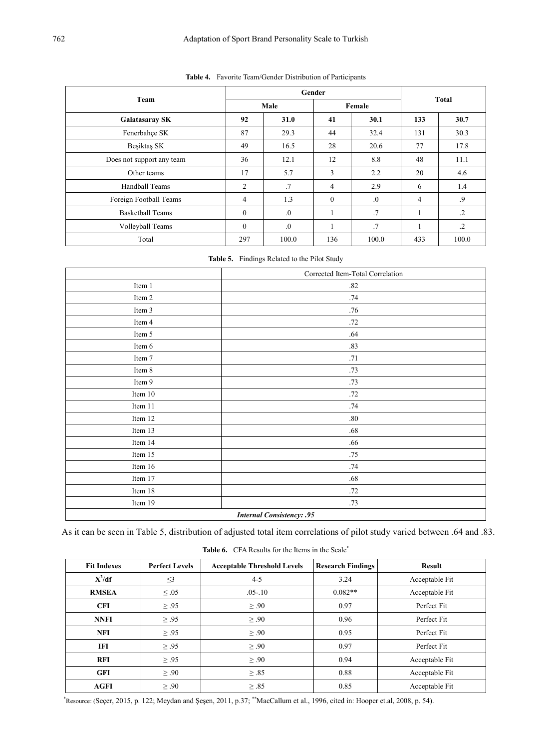|                           |          | Gender     | <b>Total</b>   |            |     |         |  |
|---------------------------|----------|------------|----------------|------------|-----|---------|--|
| Team                      |          | Male       |                | Female     |     |         |  |
| <b>Galatasaray SK</b>     | 92       | 31.0       | 41             | 30.1       | 133 | 30.7    |  |
| Fenerbahçe SK             | 87       | 29.3       | 44             | 32.4       | 131 | 30.3    |  |
| Besiktas SK               | 49       | 16.5       | 28             | 20.6       | 77  | 17.8    |  |
| Does not support any team | 36       | 12.1       | 12             | 8.8        | 48  | 11.1    |  |
| Other teams               | 17       | 5.7        | 3              | 2.2        | 20  | 4.6     |  |
| Handball Teams            | 2        | .7         | $\overline{4}$ | 2.9        | 6   | 1.4     |  |
| Foreign Football Teams    | 4        | 1.3        | $\mathbf{0}$   | $\Omega$ . | 4   | .9      |  |
| <b>Basketball Teams</b>   | $\theta$ | $\Omega$ . |                | .7         |     | $\cdot$ |  |
| Volleyball Teams          | $\theta$ | $\Omega$ . |                | .7         |     | $\cdot$ |  |
| Total                     | 297      | 100.0      | 136            | 100.0      | 433 | 100.0   |  |

**Table 4.** Favorite Team/Gender Distribution of Participants

**Table 5.** Findings Related to the Pilot Study

|                                  | Corrected Item-Total Correlation |  |  |  |  |  |
|----------------------------------|----------------------------------|--|--|--|--|--|
| Item 1                           | .82                              |  |  |  |  |  |
| Item 2                           | .74                              |  |  |  |  |  |
| Item 3                           | .76                              |  |  |  |  |  |
| Item 4                           | .72                              |  |  |  |  |  |
| Item 5                           | .64                              |  |  |  |  |  |
| Item 6                           | .83                              |  |  |  |  |  |
| Item 7                           | .71                              |  |  |  |  |  |
| Item 8                           | .73                              |  |  |  |  |  |
| Item 9                           | .73                              |  |  |  |  |  |
| Item $10$                        | .72                              |  |  |  |  |  |
| Item 11                          | .74                              |  |  |  |  |  |
| Item 12                          | $.80\,$                          |  |  |  |  |  |
| Item 13                          | $.68\,$                          |  |  |  |  |  |
| Item 14                          | .66                              |  |  |  |  |  |
| Item 15                          | .75                              |  |  |  |  |  |
| Item 16                          | .74                              |  |  |  |  |  |
| Item 17                          | .68                              |  |  |  |  |  |
| Item 18                          | .72                              |  |  |  |  |  |
| Item 19                          | .73                              |  |  |  |  |  |
| <b>Internal Consistency: .95</b> |                                  |  |  |  |  |  |

As it can be seen in Table 5, distribution of adjusted total item correlations of pilot study varied between .64 and .83.

| <b>Fit Indexes</b> | <b>Perfect Levels</b> | <b>Acceptable Threshold Levels</b> | <b>Research Findings</b> | <b>Result</b>  |
|--------------------|-----------------------|------------------------------------|--------------------------|----------------|
| $X^2/df$           | $\leq$ 3              | $4 - 5$                            | 3.24                     | Acceptable Fit |
| <b>RMSEA</b>       | $\leq .05$            | $.05 - 10$                         | $0.082**$                | Acceptable Fit |
| <b>CFI</b>         | $\geq .95$            | $\geq .90$                         | 0.97                     | Perfect Fit    |
| <b>NNFI</b>        | $\geq .95$            | $\geq .90$                         | 0.96                     | Perfect Fit    |
| <b>NFI</b>         | $\geq .95$            | $\geq .90$                         | 0.95                     | Perfect Fit    |
| <b>IFI</b>         | $\geq .95$            | $\geq .90$                         | 0.97                     | Perfect Fit    |
| <b>RFI</b>         | $\geq .95$            | $\geq .90$                         | 0.94                     | Acceptable Fit |
| <b>GFI</b>         | $\geq .90$            | $\geq .85$                         | 0.88                     | Acceptable Fit |
| <b>AGFI</b>        | $\geq .90$            | $\geq .85$                         | 0.85                     | Acceptable Fit |

Table 6. CFA Results for the Items in the Scale<sup>\*</sup>

\* Resource: (Seçer, 2015, p. 122; Meydan and Şeşen, 2011, p.37; \*\*MacCallum et al., 1996, cited in: Hooper et.al, 2008, p. 54).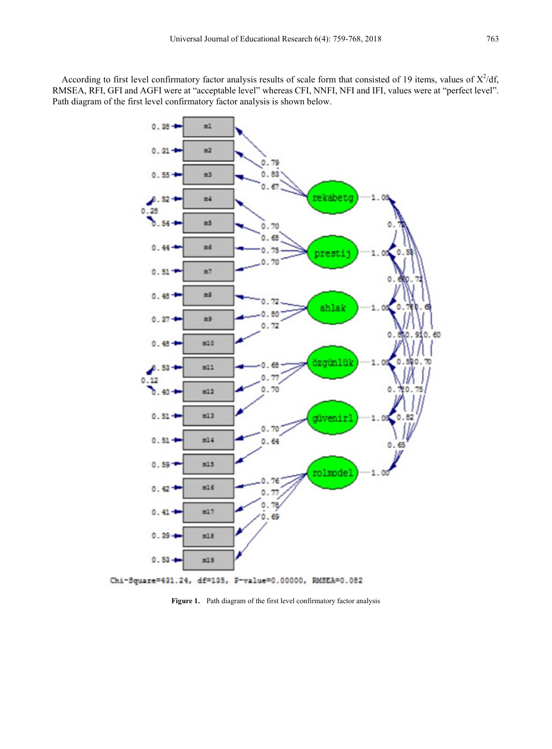According to first level confirmatory factor analysis results of scale form that consisted of 19 items, values of  $X^2/df$ , RMSEA, RFI, GFI and AGFI were at "acceptable level" whereas CFI, NNFI, NFI and IFI, values were at "perfect level". Path diagram of the first level confirmatory factor analysis is shown below.



**Figure 1.** Path diagram of the first level confirmatory factor analysis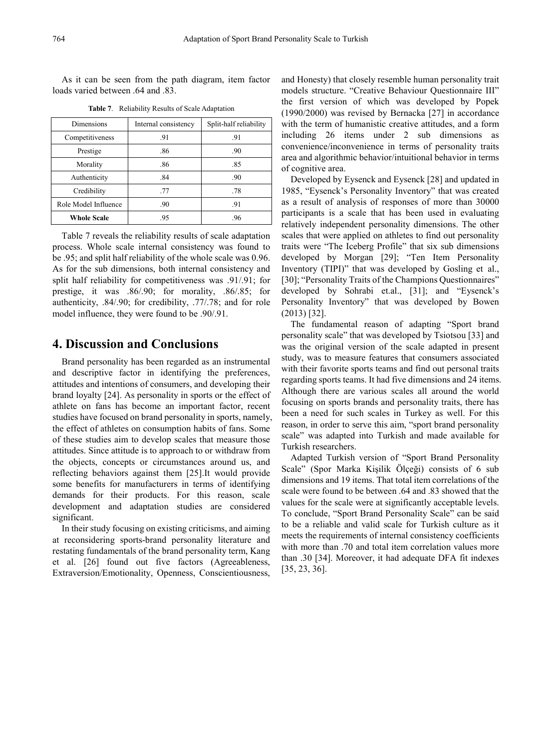As it can be seen from the path diagram, item factor loads varied between .64 and .83.

| Dimensions           | Internal consistency | Split-half reliability |
|----------------------|----------------------|------------------------|
| Competitiveness      | .91                  | .91                    |
| Prestige             | .86                  | .90                    |
| Morality             | .86                  | .85                    |
| Authenticity         | .84                  | .90                    |
| Credibility          | .77                  | .78                    |
| Role Model Influence | .90                  | -91                    |
| <b>Whole Scale</b>   | .95                  | .96                    |

**Table 7**. Reliability Results of Scale Adaptation

Table 7 reveals the reliability results of scale adaptation process. Whole scale internal consistency was found to be .95; and split half reliability of the whole scale was 0.96. As for the sub dimensions, both internal consistency and split half reliability for competitiveness was .91/.91; for prestige, it was .86/.90; for morality, .86/.85; for authenticity, .84/.90; for credibility, .77/.78; and for role model influence, they were found to be .90/.91.

## **4. Discussion and Conclusions**

Brand personality has been regarded as an instrumental and descriptive factor in identifying the preferences, attitudes and intentions of consumers, and developing their brand loyalty [24]. As personality in sports or the effect of athlete on fans has become an important factor, recent studies have focused on brand personality in sports, namely, the effect of athletes on consumption habits of fans. Some of these studies aim to develop scales that measure those attitudes. Since attitude is to approach to or withdraw from the objects, concepts or circumstances around us, and reflecting behaviors against them [25].It would provide some benefits for manufacturers in terms of identifying demands for their products. For this reason, scale development and adaptation studies are considered significant.

In their study focusing on existing criticisms, and aiming at reconsidering sports-brand personality literature and restating fundamentals of the brand personality term, Kang et al. [26] found out five factors (Agreeableness, Extraversion/Emotionality, Openness, Conscientiousness, and Honesty) that closely resemble human personality trait models structure. "Creative Behaviour Questionnaire III" the first version of which was developed by Popek (1990/2000) was revised by Bernacka [27] in accordance with the term of humanistic creative attitudes, and a form including 26 items under 2 sub dimensions as convenience/inconvenience in terms of personality traits area and algorithmic behavior/intuitional behavior in terms of cognitive area.

Developed by Eysenck and Eysenck [28] and updated in 1985, "Eysenck's Personality Inventory" that was created as a result of analysis of responses of more than 30000 participants is a scale that has been used in evaluating relatively independent personality dimensions. The other scales that were applied on athletes to find out personality traits were "The Iceberg Profile" that six sub dimensions developed by Morgan [29]; "Ten Item Personality Inventory (TIPI)" that was developed by Gosling et al., [30]; "Personality Traits of the Champions Questionnaires" developed by Sohrabi et.al., [31]; and "Eysenck's Personality Inventory" that was developed by Bowen (2013) [32].

The fundamental reason of adapting "Sport brand personality scale" that was developed by Tsiotsou [33] and was the original version of the scale adapted in present study, was to measure features that consumers associated with their favorite sports teams and find out personal traits regarding sports teams. It had five dimensions and 24 items. Although there are various scales all around the world focusing on sports brands and personality traits, there has been a need for such scales in Turkey as well. For this reason, in order to serve this aim, "sport brand personality scale" was adapted into Turkish and made available for Turkish researchers.

Adapted Turkish version of "Sport Brand Personality Scale" (Spor Marka Kişilik Ölçeği) consists of 6 sub dimensions and 19 items. That total item correlations of the scale were found to be between .64 and .83 showed that the values for the scale were at significantly acceptable levels. To conclude, "Sport Brand Personality Scale" can be said to be a reliable and valid scale for Turkish culture as it meets the requirements of internal consistency coefficients with more than .70 and total item correlation values more than .30 [34]. Moreover, it had adequate DFA fit indexes [35, 23, 36].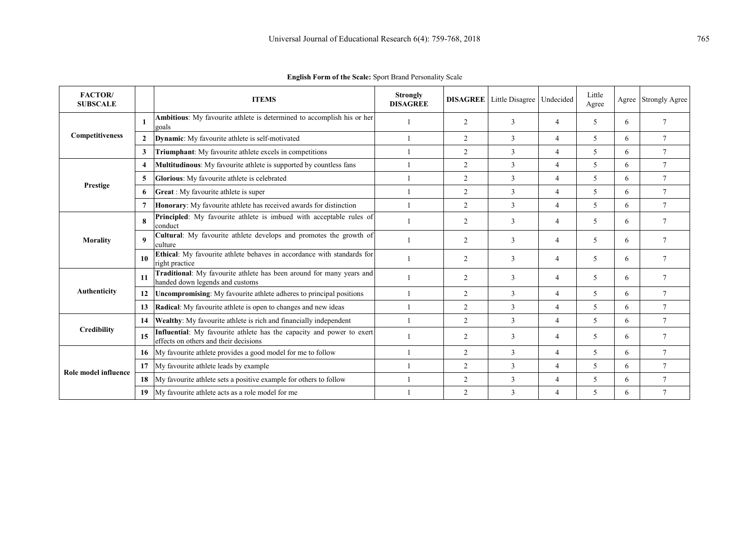| <b>FACTOR</b><br><b>SUBSCALE</b>                           |                | <b>ITEMS</b>                                                                                                   | <b>Strongly</b><br><b>DISAGREE</b>                                                                                                                                                                                                                                                                                                                                    |                | <b>DISAGREE</b> Little Disagree | Undecided      | Little<br>Agree | Agree | <b>Strongly Agree</b> |
|------------------------------------------------------------|----------------|----------------------------------------------------------------------------------------------------------------|-----------------------------------------------------------------------------------------------------------------------------------------------------------------------------------------------------------------------------------------------------------------------------------------------------------------------------------------------------------------------|----------------|---------------------------------|----------------|-----------------|-------|-----------------------|
|                                                            |                | Ambitious: My favourite athlete is determined to accomplish his or her<br>goals                                |                                                                                                                                                                                                                                                                                                                                                                       | 2              | 3                               | 4              | 5               | 6     | $\overline{7}$        |
| Competitiveness                                            | $\overline{2}$ | <b>Dynamic:</b> My favourite athlete is self-motivated                                                         |                                                                                                                                                                                                                                                                                                                                                                       | 2              | 3                               | $\overline{4}$ | 5               | 6     | $\overline{7}$        |
|                                                            | 3              | Triumphant: My favourite athlete excels in competitions                                                        |                                                                                                                                                                                                                                                                                                                                                                       | 2              | 3                               | 4              | 5               | 6     | $\overline{7}$        |
| <b>Prestige</b><br><b>Morality</b>                         | 4              | <b>Multitudinous:</b> My favourite athlete is supported by countless fans                                      |                                                                                                                                                                                                                                                                                                                                                                       | $\overline{2}$ | 3                               | 4              | 5               | 6     | $\overline{7}$        |
|                                                            | 5              | Glorious: My favourite athlete is celebrated                                                                   |                                                                                                                                                                                                                                                                                                                                                                       | $\overline{2}$ | 3                               | 4              | 5               | 6     | $\tau$                |
|                                                            | 6              | Great : My favourite athlete is super                                                                          |                                                                                                                                                                                                                                                                                                                                                                       | $\overline{2}$ | 3                               | 4              | 5               | 6     | 7                     |
|                                                            | 7              | <b>Honorary:</b> My favourite athlete has received awards for distinction                                      |                                                                                                                                                                                                                                                                                                                                                                       | $\overline{2}$ | $\mathbf{3}$                    | $\overline{4}$ | 5               | 6     | $7\phantom{.0}$       |
| Authenticity<br><b>Credibility</b><br>Role model influence | 8              | <b>Principled:</b> My favourite athlete is imbued with acceptable rules of<br>conduct                          |                                                                                                                                                                                                                                                                                                                                                                       | $\overline{2}$ | $\mathbf{3}$                    | 4              | 5               | 6     | $\overline{7}$        |
|                                                            | 9              | Cultural: My favourite athlete develops and promotes the growth of<br>culture                                  |                                                                                                                                                                                                                                                                                                                                                                       | 2              | 3                               | 4              | 5               | 6     | $\tau$                |
|                                                            | 10             | Ethical: My favourite athlete behaves in accordance with standards for<br>right practice                       |                                                                                                                                                                                                                                                                                                                                                                       | $\overline{2}$ | $\mathbf{3}$                    | 4              | 5               | 6     | $\tau$                |
|                                                            | 11             | Traditional: My favourite athlete has been around for many years and<br>handed down legends and customs        |                                                                                                                                                                                                                                                                                                                                                                       | 2              | 3                               | 4              | 5               | 6     | $\tau$                |
|                                                            | 12             | <b>Uncompromising:</b> My favourite athlete adheres to principal positions                                     |                                                                                                                                                                                                                                                                                                                                                                       | $\overline{2}$ | 3                               | 4              | 5               | 6     | $\tau$                |
|                                                            | 13             | <b>Radical</b> : My favourite athlete is open to changes and new ideas                                         | $\overline{2}$<br>3<br>5<br>$7\phantom{.0}$<br>4<br>6<br>$\overline{2}$<br>3<br>5<br>$\tau$<br>4<br>6<br>5<br>$\overline{2}$<br>3<br>$\overline{7}$<br>4<br>6<br>2<br>5<br>$\tau$<br>3<br>$\overline{4}$<br>6<br>3<br>$\tau$<br>$\overline{2}$<br>5<br>4<br>6<br>3<br>$\overline{2}$<br>5<br>$\tau$<br>4<br>6<br>$\overline{2}$<br>3<br>$\overline{7}$<br>5<br>4<br>6 |                |                                 |                |                 |       |                       |
|                                                            | 14             | Wealthy: My favourite athlete is rich and financially independent                                              |                                                                                                                                                                                                                                                                                                                                                                       |                |                                 |                |                 |       |                       |
|                                                            | 15             | Influential: My favourite athlete has the capacity and power to exert<br>effects on others and their decisions |                                                                                                                                                                                                                                                                                                                                                                       |                |                                 |                |                 |       |                       |
|                                                            |                | 16 My favourite athlete provides a good model for me to follow                                                 |                                                                                                                                                                                                                                                                                                                                                                       |                |                                 |                |                 |       |                       |
|                                                            |                | 17 My favourite athlete leads by example                                                                       |                                                                                                                                                                                                                                                                                                                                                                       |                |                                 |                |                 |       |                       |
|                                                            | 18             | My favourite athlete sets a positive example for others to follow                                              |                                                                                                                                                                                                                                                                                                                                                                       |                |                                 |                |                 |       |                       |
|                                                            | 19             | My favourite athlete acts as a role model for me                                                               |                                                                                                                                                                                                                                                                                                                                                                       |                |                                 |                |                 |       |                       |

**English Form of the Scale:** Sport Brand Personality Scale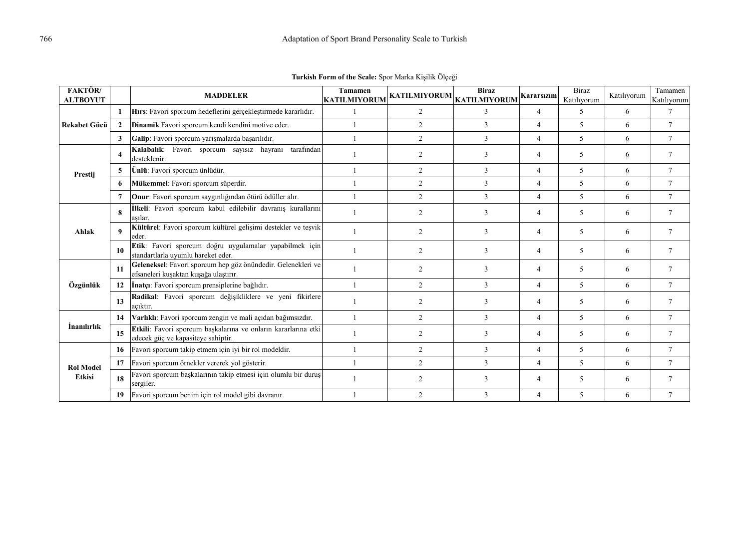| <b>FAKTÖR</b><br><b>ALTBOYUT</b> |                  | <b>MADDELER</b>                                                                                       | Tamamen<br><b>KATILMIYORUM</b> | KATILMIYORUM KAT <u>ILMIYORUM</u> | <b>Biraz</b> | Kararsızım     | <b>Biraz</b><br>Katılıyorum | Katılıyorum | Tamamen<br>Katılıyorum |
|----------------------------------|------------------|-------------------------------------------------------------------------------------------------------|--------------------------------|-----------------------------------|--------------|----------------|-----------------------------|-------------|------------------------|
|                                  |                  | Hirs: Favori sporcum hedeflerini gerçekleştirmede kararlıdır.                                         |                                | 2                                 | $\mathbf{3}$ | $\overline{4}$ | $\overline{\phantom{0}}$    | 6           | $\tau$                 |
| <b>Rekabet Gücü</b>              | $\overline{2}$   | Dinamik Favori sporcum kendi kendini motive eder.                                                     |                                | 2                                 | 3            | $\overline{4}$ | 5                           | 6           | $\tau$                 |
|                                  | 3                | Galip: Favori sporcum yarışmalarda başarılıdır.                                                       |                                | $\overline{2}$                    | 3            | 4              | 5                           | 6           | $\tau$                 |
|                                  | $\boldsymbol{4}$ | Kalabalık: Favori sporcum sayısız hayranı tarafından<br>desteklenir.                                  |                                | $\overline{c}$                    | 3            | 4              | 5                           | 6           | $\tau$                 |
| Prestij                          | 5                | Ünlü: Favori sporcum ünlüdür.                                                                         |                                | $\overline{2}$                    | 3            | $\overline{4}$ | 5                           | 6           | $\tau$                 |
|                                  | -6               | Mükemmel: Favori sporcum süperdir.                                                                    |                                | $\overline{2}$                    | 3            | $\overline{4}$ | 5                           | 6           | $\tau$                 |
|                                  | $\overline{7}$   | Onur: Favori sporcum saygınlığından ötürü ödüller alır.                                               |                                | $\overline{2}$                    | 3            | $\overline{4}$ | 5                           | 6           | $\tau$                 |
|                                  | 8                | İlkeli: Favori sporcum kabul edilebilir davranış kurallarını<br>aşılar.                               |                                | $\overline{c}$                    | 3            | 4              | 5                           | 6           | $\tau$                 |
| Ahlak                            | 9                | Kültürel: Favori sporcum kültürel gelişimi destekler ve teşvik<br>eder.                               |                                | $\overline{c}$                    | 3            | $\overline{4}$ | 5                           | 6           | $\tau$                 |
|                                  | 10               | Etik: Favori sporcum doğru uygulamalar yapabilmek için<br>standartlarla uyumlu hareket eder.          |                                | 2                                 | 3            | 4              | 5                           | 6           | 7                      |
|                                  | 11               | Geleneksel: Favori sporcum hep göz önündedir. Gelenekleri ve<br>efsaneleri kuşaktan kuşağa ulaştırır. |                                | $\overline{2}$                    | 3            | $\overline{4}$ | 5                           | 6           | $\tau$                 |
| Özgünlük                         | 12               | <b>İnatçı</b> : Favori sporcum prensiplerine bağlıdır.                                                |                                | $\overline{2}$                    | 3            | 4              | 5                           | 6           | $\tau$                 |
|                                  | 13               | Radikal: Favori sporcum değişikliklere ve yeni fikirlere<br>acıktır.                                  |                                | $\overline{c}$                    | 3            | $\overline{4}$ | 5                           | 6           | $\tau$                 |
|                                  | 14               | Varlıklı: Favori sporcum zengin ve mali açıdan bağımsızdır.                                           |                                | $\overline{2}$                    | 3            | 4              | 5                           | 6           | $\tau$                 |
| <i>Inanihrhk</i>                 | 15               | Etkili: Favori sporcum başkalarına ve onların kararlarına etki<br>edecek güç ve kapasiteye sahiptir.  |                                | $\overline{2}$                    | 3            | $\overline{4}$ | 5                           | 6           | $7\phantom{.0}$        |
|                                  | 16               | Favori sporcum takip etmem için iyi bir rol modeldir.                                                 |                                | $\overline{2}$                    | 3            | 4              | 5                           | 6           | $\tau$                 |
| <b>Rol Model</b>                 | 17               | Favori sporcum örnekler vererek yol gösterir.                                                         |                                | $\overline{2}$                    | 3            | $\overline{4}$ | 5                           | 6           | $7\phantom{.0}$        |
| Etkisi                           | 18               | Favori sporcum başkalarının takip etmesi için olumlu bir duruş<br>sergiler.                           |                                | 2                                 | 3            | 4              | 5                           | 6           | $\tau$                 |
|                                  | 19               | Favori sporcum benim için rol model gibi davranır.                                                    |                                | $\overline{c}$                    | 3            | 4              | 5                           | 6           | $\overline{7}$         |

**Turkish Form of the Scale:** Spor Marka Kişilik Ölçeği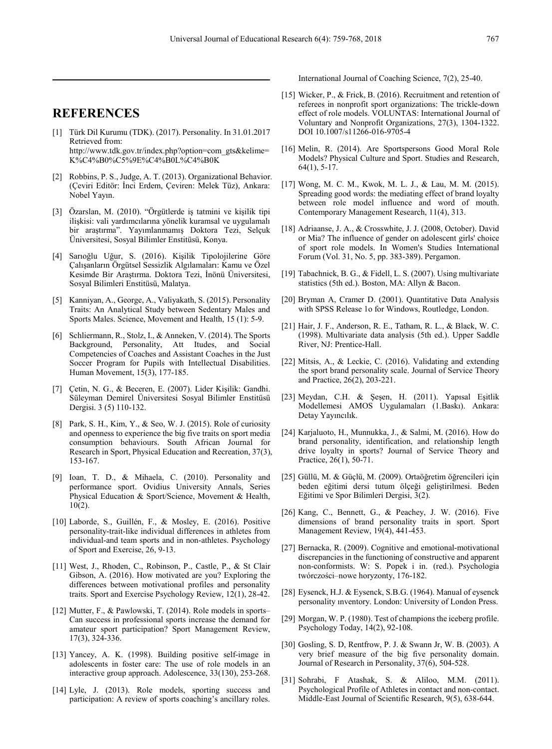## **REFERENCES**

- [1] Türk Dil Kurumu (TDK). (2017). Personality. In 31.01.2017 Retrieved from: http://www.tdk.gov.tr/index.php?option=com\_gts&kelime= K%C4%B0%C5%9E%C4%B0L%C4%B0K
- [2] Robbins, P. S., Judge, A. T. (2013). Organizational Behavior. (Çeviri Editör: İnci Erdem, Çeviren: Melek Tüz), Ankara: Nobel Yayın.
- [3] Özarslan, M. (2010). "Örgütlerde iş tatmini ve kişilik tipi ilişkisi: vali yardımcılarına yönelik kuramsal ve uygulamalı bir araştırma". Yayımlanmamış Doktora Tezi, Selçuk Üniversitesi, Sosyal Bilimler Enstitüsü, Konya.
- [4] Sarıoğlu Uğur, S. (2016). Kişilik Tipolojilerine Göre Çalışanların Örgütsel Sessizlik Algılamaları: Kamu ve Özel Kesimde Bir Araştırma. Doktora Tezi, İnönü Üniversitesi, Sosyal Bilimleri Enstitüsü, Malatya.
- [5] Kanniyan, A., George, A., Valiyakath, S. (2015). Personality Traits: An Analytical Study between Sedentary Males and Sports Males. Science, Movement and Health, 15 (1): 5-9.
- [6] Schliermann, R., Stolz, I., & Anneken, V. (2014). The Sports Background, Personality, Att Itudes, and Social Competencies of Coaches and Assistant Coaches in the Just Soccer Program for Pupils with Intellectual Disabilities. Human Movement, 15(3), 177-185.
- [7] Çetin, N. G., & Beceren, E. (2007). Lider Kişilik: Gandhi. Süleyman Demirel Üniversitesi Sosyal Bilimler Enstitüsü Dergisi. 3 (5) 110-132.
- [8] Park, S. H., Kim, Y., & Seo, W. J. (2015). Role of curiosity and openness to experience the big five traits on sport media consumption behaviours. South African Journal for Research in Sport, Physical Education and Recreation, 37(3), 153-167.
- [9] Ioan, T. D., & Mihaela, C. (2010). Personality and performance sport. Ovidius University Annals, Series Physical Education & Sport/Science, Movement & Health,  $10(2)$ .
- [10] Laborde, S., Guillén, F., & Mosley, E. (2016). Positive personality-trait-like individual differences in athletes from individual-and team sports and in non-athletes. Psychology of Sport and Exercise, 26, 9-13.
- [11] West, J., Rhoden, C., Robinson, P., Castle, P., & St Clair Gibson, A. (2016). How motivated are you? Exploring the differences between motivational profiles and personality traits. Sport and Exercise Psychology Review, 12(1), 28-42.
- [12] Mutter, F., & Pawlowski, T. (2014). Role models in sports– Can success in professional sports increase the demand for amateur sport participation? Sport Management Review, 17(3), 324-336.
- [13] Yancey, A. K. (1998). Building positive self-image in adolescents in foster care: The use of role models in an interactive group approach. Adolescence, 33(130), 253-268.
- [14] Lyle, J. (2013). Role models, sporting success and participation: A review of sports coaching's ancillary roles.

International Journal of Coaching Science, 7(2), 25-40.

- [15] Wicker, P., & Frick, B. (2016). Recruitment and retention of referees in nonprofit sport organizations: The trickle-down effect of role models. VOLUNTAS: International Journal of Voluntary and Nonprofit Organizations, 27(3), 1304-1322. DOI 10.1007/s11266-016-9705-4
- [16] Melin, R. (2014). Are Sportspersons Good Moral Role Models? Physical Culture and Sport. Studies and Research, 64(1), 5-17.
- [17] Wong, M. C. M., Kwok, M. L. J., & Lau, M. M. (2015). Spreading good words: the mediating effect of brand loyalty between role model influence and word of mouth. Contemporary Management Research, 11(4), 313.
- [18] Adriaanse, J. A., & Crosswhite, J. J. (2008, October). David or Mia? The influence of gender on adolescent girls' choice of sport role models. In Women's Studies International Forum (Vol. 31, No. 5, pp. 383-389). Pergamon.
- [19] Tabachnick, B. G., & Fidell, L. S. (2007). Using multivariate statistics (5th ed.). Boston, MA: Allyn & Bacon.
- [20] Bryman A, Cramer D. (2001). Quantitative Data Analysis with SPSS Release 1o for Windows, Routledge, London.
- [21] Hair, J. F., Anderson, R. E., Tatham, R. L., & Black, W. C. (1998). Multivariate data analysis (5th ed.). Upper Saddle River, NJ: Prentice-Hall.
- [22] Mitsis, A., & Leckie, C. (2016). Validating and extending the sport brand personality scale. Journal of Service Theory and Practice, 26(2), 203-221.
- [23] Meydan, C.H. & Şeşen, H. (2011). Yapısal Eşitlik Modellemesi AMOS Uygulamaları (1.Baskı). Ankara: Detay Yayıncılık.
- [24] Karjaluoto, H., Munnukka, J., & Salmi, M. (2016). How do brand personality, identification, and relationship length drive loyalty in sports? Journal of Service Theory and Practice, 26(1), 50-71.
- [25] Güllü, M. & Güçlü, M. (2009). Ortaöğretim öğrencileri için beden eğitimi dersi tutum ölçeği geliştirilmesi. Beden Eğitimi ve Spor Bilimleri Dergisi, 3(2).
- [26] Kang, C., Bennett, G., & Peachey, J. W. (2016). Five dimensions of brand personality traits in sport. Sport Management Review, 19(4), 441-453.
- [27] Bernacka, R. (2009). Cognitive and emotional-motivational discrepancies in the functioning of constructive and apparent non-conformists. W: S. Popek i in. (red.). Psychologia twórczości–nowe horyzonty, 176-182.
- [28] Eysenck, H.J. & Eysenck, S.B.G. (1964). Manual of eysenck personality ınventory. London: University of London Press.
- [29] Morgan, W. P. (1980). Test of champions the iceberg profile. Psychology Today, 14(2), 92-108.
- [30] Gosling, S. D, Rentfrow, P. J. & Swann Jr, W. B. (2003). A very brief measure of the big five personality domain. Journal of Research in Personality, 37(6), 504-528.
- [31] Sohrabi, F Atashak, S. & Aliloo, M.M. (2011). Psychological Profile of Athletes in contact and non-contact. Middle-East Journal of Scientific Research, 9(5), 638-644.